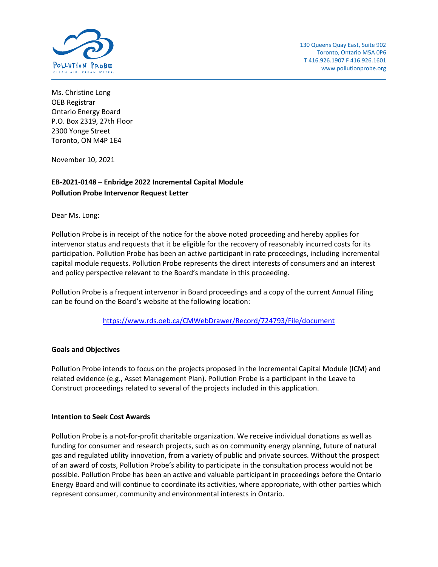

Ms. Christine Long OEB Registrar Ontario Energy Board P.O. Box 2319, 27th Floor 2300 Yonge Street Toronto, ON M4P 1E4

November 10, 2021

## **EB-2021-0148 – Enbridge 2022 Incremental Capital Module Pollution Probe Intervenor Request Letter**

Dear Ms. Long:

Pollution Probe is in receipt of the notice for the above noted proceeding and hereby applies for intervenor status and requests that it be eligible for the recovery of reasonably incurred costs for its participation. Pollution Probe has been an active participant in rate proceedings, including incremental capital module requests. Pollution Probe represents the direct interests of consumers and an interest and policy perspective relevant to the Board's mandate in this proceeding.

Pollution Probe is a frequent intervenor in Board proceedings and a copy of the current Annual Filing can be found on the Board's website at the following location:

<https://www.rds.oeb.ca/CMWebDrawer/Record/724793/File/document>

## **Goals and Objectives**

Pollution Probe intends to focus on the projects proposed in the Incremental Capital Module (ICM) and related evidence (e.g., Asset Management Plan). Pollution Probe is a participant in the Leave to Construct proceedings related to several of the projects included in this application.

## **Intention to Seek Cost Awards**

Pollution Probe is a not-for-profit charitable organization. We receive individual donations as well as funding for consumer and research projects, such as on community energy planning, future of natural gas and regulated utility innovation, from a variety of public and private sources. Without the prospect of an award of costs, Pollution Probe's ability to participate in the consultation process would not be possible. Pollution Probe has been an active and valuable participant in proceedings before the Ontario Energy Board and will continue to coordinate its activities, where appropriate, with other parties which represent consumer, community and environmental interests in Ontario.